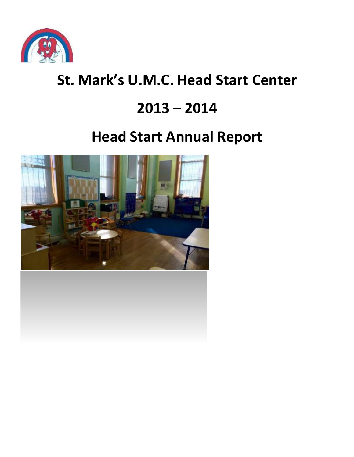

# **St. Mark's U.M.C. Head Start Center**

## **2013 – 2014**

# **Head Start Annual Report**

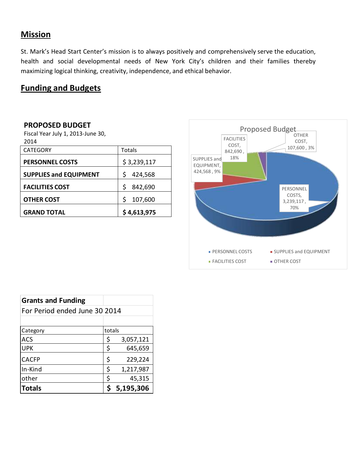## **Mission**

St. Mark's Head Start Center's mission is to always positively and comprehensively serve the education, health and social developmental needs of New York City's children and their families thereby maximizing logical thinking, creativity, independence, and ethical behavior.

## **Funding and Budgets**

#### **PROPOSED BUDGET**

Fiscal Year July 1, 2013-June 30, 2014

| <b>CATEGORY</b>               | Totals       |
|-------------------------------|--------------|
| <b>PERSONNEL COSTS</b>        | \$3,239,117  |
| <b>SUPPLIES and EQUIPMENT</b> | 424,568      |
| <b>FACILITIES COST</b>        | Ś<br>842,690 |
| <b>OTHER COST</b>             | 107,600      |
| <b>GRAND TOTAL</b>            | \$4,613,975  |



| <b>Grants and Funding</b>     |        |           |
|-------------------------------|--------|-----------|
| For Period ended June 30 2014 |        |           |
|                               |        |           |
| Category                      | totals |           |
| <b>ACS</b>                    | \$     | 3,057,121 |
| <b>UPK</b>                    | \$     | 645,659   |
| <b>CACFP</b>                  | \$     | 229,224   |
| In-Kind                       | \$     | 1,217,987 |
| other                         | \$     | 45,315    |
| <b>Totals</b>                 |        | 5,195,306 |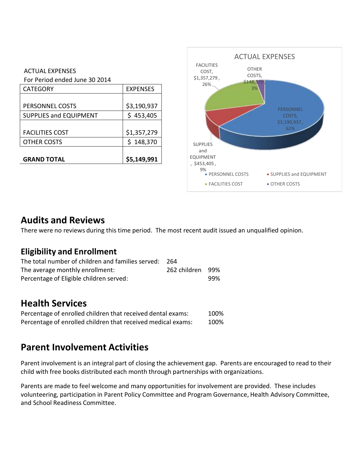#### ACTUAL EXPENSES For Period ended June 30 2014

| <b>GRAND TOTAL</b>            | \$5,149,991     |
|-------------------------------|-----------------|
|                               |                 |
| <b>OTHER COSTS</b>            | \$148,370       |
| <b>FACILITIES COST</b>        | \$1,357,279     |
|                               |                 |
| <b>SUPPLIES and EQUIPMENT</b> | \$453,405       |
| PERSONNEL COSTS               | \$3,190,937     |
|                               |                 |
| <b>CATEGORY</b>               | <b>EXPENSES</b> |
| For Period ended June 30 2014 |                 |



## **Audits and Reviews**

There were no reviews during this time period. The most recent audit issued an unqualified opinion.

## **Eligibility and Enrollment**

| The total number of children and families served: | -264             |     |
|---------------------------------------------------|------------------|-----|
| The average monthly enrollment:                   | 262 children 99% |     |
| Percentage of Eligible children served:           |                  | 99% |

## **Health Services**

| Percentage of enrolled children that received dental exams:  | 100% |
|--------------------------------------------------------------|------|
| Percentage of enrolled children that received medical exams: | 100% |

## **Parent Involvement Activities**

Parent involvement is an integral part of closing the achievement gap. Parents are encouraged to read to their child with free books distributed each month through partnerships with organizations.

Parents are made to feel welcome and many opportunities for involvement are provided. These includes volunteering, participation in Parent Policy Committee and Program Governance, Health Advisory Committee, and School Readiness Committee.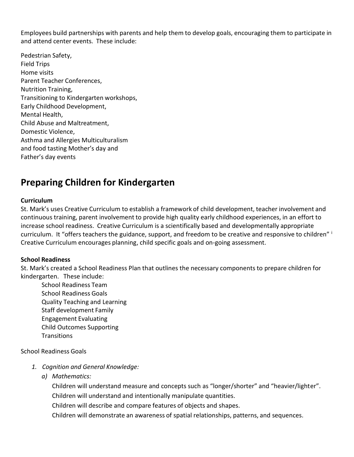Employees build partnerships with parents and help them to develop goals, encouraging them to participate in and attend center events. These include:

Pedestrian Safety, Field Trips Home visits Parent Teacher Conferences, Nutrition Training, Transitioning to Kindergarten workshops, Early Childhood Development, Mental Health, Child Abuse and Maltreatment, Domestic Violence, Asthma and Allergies Multiculturalism and food tasting Mother's day and Father's day events

## **Preparing Children for Kindergarten**

#### **Curriculum**

St. Mark's uses Creative Curriculum to establish a framework of child development, teacher involvement and continuous training, parent involvement to provide high quality early childhood experiences, in an effort to increase school readiness. Creative Curriculum is a scientifically based and developmentally appropriate curriculum. It "offers teachers the guidance, support, and freedom to be creative and responsive to children" i Creative Curriculum encourages planning, child specific goals and on-going assessment.

#### **School Readiness**

St. Mark's created a School Readiness Plan that outlines the necessary components to prepare children for kindergarten. These include:

School Readiness Team School Readiness Goals Quality Teaching and Learning Staff development Family Engagement Evaluating Child Outcomes Supporting **Transitions** 

School Readiness Goals

- *1. Cognition and General Knowledge:*
	- *a) Mathematics:*

Children will understand measure and concepts such as "longer/shorter" and "heavier/lighter". Children will understand and intentionally manipulate quantities.

Children will describe and compare features of objects and shapes.

Children will demonstrate an awareness of spatial relationships, patterns, and sequences.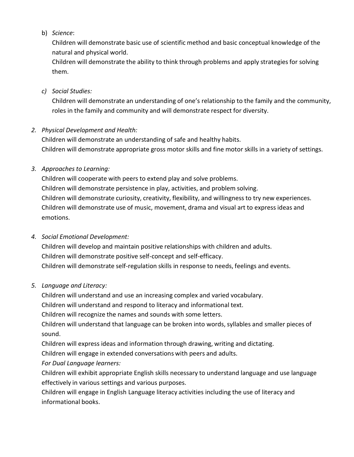#### b) *Science*:

Children will demonstrate basic use of scientific method and basic conceptual knowledge of the natural and physical world.

Children will demonstrate the ability to think through problems and apply strategiesfor solving them.

#### *c) Social Studies:*

Children will demonstrate an understanding of one's relationship to the family and the community, roles in the family and community and will demonstrate respect for diversity.

### *2. Physical Development and Health:*

Children will demonstrate an understanding of safe and healthy habits. Children will demonstrate appropriate gross motor skills and fine motor skills in a variety of settings.

### *3. Approaches to Learning:*

Children will cooperate with peers to extend play and solve problems. Children will demonstrate persistence in play, activities, and problem solving. Children will demonstrate curiosity, creativity, flexibility, and willingness to try new experiences. Children will demonstrate use of music, movement, drama and visual art to express ideas and emotions.

### *4. Social Emotional Development:*

Children will develop and maintain positive relationships with children and adults. Children will demonstrate positive self-concept and self-efficacy. Children will demonstrate self-regulation skills in response to needs, feelings and events.

### *5. Language and Literacy:*

Children will understand and use an increasing complex and varied vocabulary.

Children will understand and respond to literacy and informational text.

Children will recognize the names and sounds with some letters.

Children will understand that language can be broken into words, syllables and smaller pieces of sound.

Children will express ideas and information through drawing, writing and dictating.

Children will engage in extended conversations with peers and adults.

### *For Dual Language learners:*

Children will exhibit appropriate English skills necessary to understand language and use language effectively in various settings and various purposes.

Children will engage in English Language literacy activities including the use of literacy and informational books.